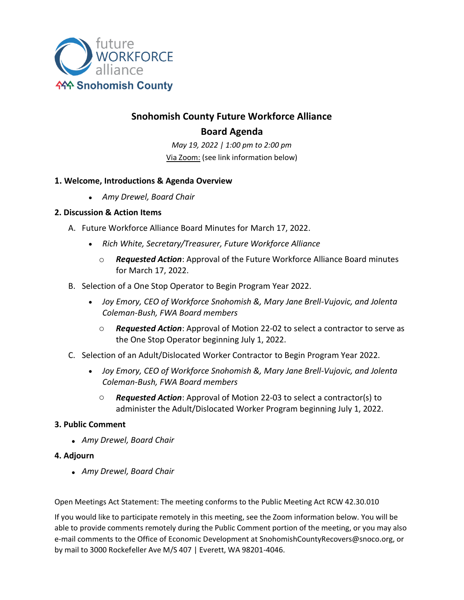

# **Snohomish County Future Workforce Alliance Board Agenda**

*May 19, 2022 | 1:00 pm to 2:00 pm* Via Zoom: (see link information below)

### **1. Welcome, Introductions & Agenda Overview**

• *Amy Drewel, Board Chair*

### **2. Discussion & Action Items**

- A. Future Workforce Alliance Board Minutes for March 17, 2022.
	- *Rich White, Secretary/Treasurer, Future Workforce Alliance*
		- o *Requested Action*: Approval of the Future Workforce Alliance Board minutes for March 17, 2022.
- B. Selection of a One Stop Operator to Begin Program Year 2022.
	- *Joy Emory, CEO of Workforce Snohomish &, Mary Jane Brell-Vujovic, and Jolenta Coleman-Bush, FWA Board members*
		- o *Requested Action*: Approval of Motion 22-02 to select a contractor to serve as the One Stop Operator beginning July 1, 2022.
- C. Selection of an Adult/Dislocated Worker Contractor to Begin Program Year 2022.
	- *Joy Emory, CEO of Workforce Snohomish &, Mary Jane Brell-Vujovic, and Jolenta Coleman-Bush, FWA Board members*
		- o *Requested Action*: Approval of Motion 22-03 to select a contractor(s) to administer the Adult/Dislocated Worker Program beginning July 1, 2022.

# **3. Public Comment**

• *Amy Drewel, Board Chair*

# **4. Adjourn**

• *Amy Drewel, Board Chair*

Open Meetings Act Statement: The meeting conforms to the Public Meeting Act RCW 42.30.010

If you would like to participate remotely in this meeting, see the Zoom information below. You will be able to provide comments remotely during the Public Comment portion of the meeting, or you may also e-mail comments to the Office of Economic Development at SnohomishCountyRecovers@snoco.org, or by mail to 3000 Rockefeller Ave M/S 407 | Everett, WA 98201-4046.